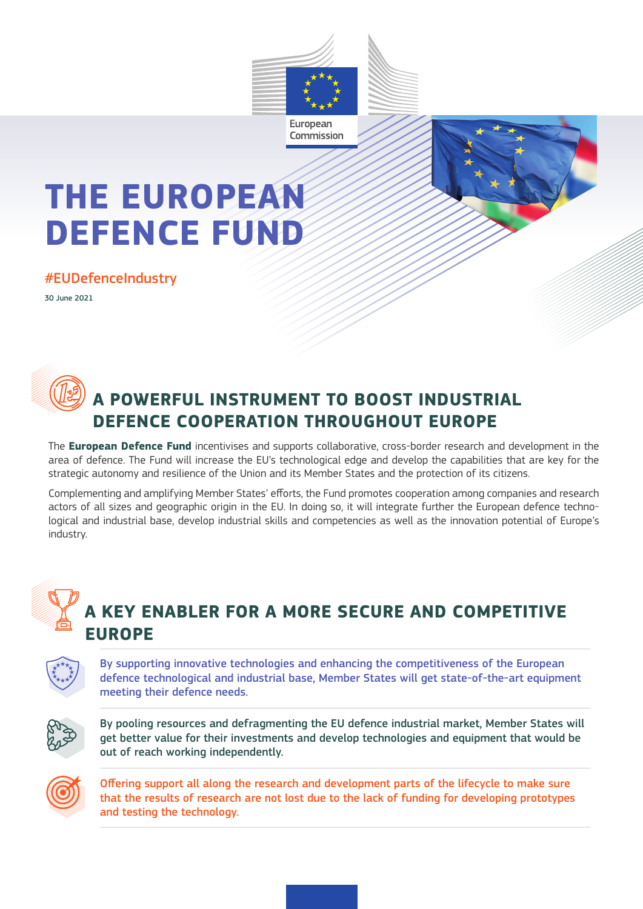



# **THE EUROPEAN DEFENCE FUND**

#### #EUDefenceIndustry

30 June 2021



### **A POWERFUL INSTRUMENT TO BOOST INDUSTRIAL DEFENCE COOPERATION THROUGHOUT EUROPE**

The **European Defence Fund** incentivises and supports collaborative, cross-border research and development in the area of defence. The Fund will increase the EU's technological edge and develop the capabilities that are key for the strategic autonomy and resilience of the Union and its Member States and the protection of its citizens.

Complementing and amplifying Member States' efforts, the Fund promotes cooperation among companies and research actors of all sizes and geographic origin in the EU. In doing so, it will integrate further the European defence technological and industrial base, develop industrial skills and competencies as well as the innovation potential of Europe's industry.



### **A KEY ENABLER FOR A MORE SECURE AND COMPETITIVE EUROPE**

By supporting innovative technologies and enhancing the competitiveness of the European defence technological and industrial base, Member States will get state-of-the-art equipment meeting their defence needs.



By pooling resources and defragmenting the EU defence industrial market, Member States will get better value for their investments and develop technologies and equipment that would be out of reach working independently.



Offering support all along the research and development parts of the lifecycle to make sure that the results of research are not lost due to the lack of funding for developing prototypes and testing the technology.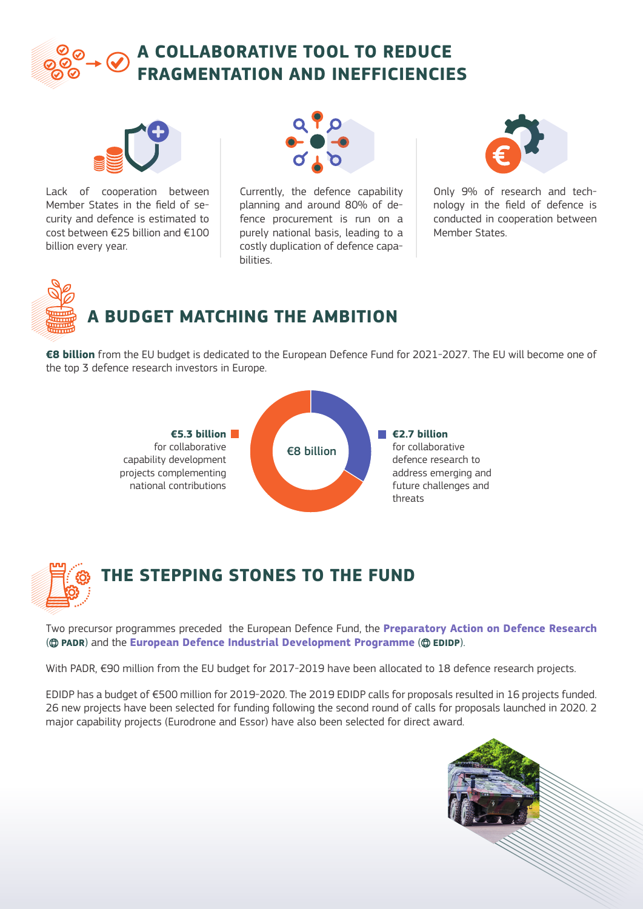



Lack of cooperation between Member States in the field of security and defence is estimated to cost between €25 billion and €100 billion every year.



Currently, the defence capability planning and around 80% of defence procurement is run on a purely national basis, leading to a costly duplication of defence capabilities.



Only 9% of research and technology in the field of defence is conducted in cooperation between Member States.



**€8 billion** from the EU budget is dedicated to the European Defence Fund for 2021-2027. The EU will become one of the top 3 defence research investors in Europe.





Two precursor programmes preceded the European Defence Fund, the **Preparatory Action on Defence Research** ( **[PADR](https://ec.europa.eu/commission/presscorner/detail/en/fs_20_1077)**) and the **European Defence Industrial Development Programme** ( **[EDIDP](https://ec.europa.eu/commission/presscorner/detail/en/fs_20_1076)**).

With PADR, €90 million from the EU budget for 2017-2019 have been allocated to 18 defence research projects.

EDIDP has a budget of €500 million for 2019-2020. The 2019 EDIDP calls for proposals resulted in 16 projects funded. 26 new projects have been selected for funding following the second round of calls for proposals launched in 2020. 2 major capability projects (Eurodrone and Essor) have also been selected for direct award.

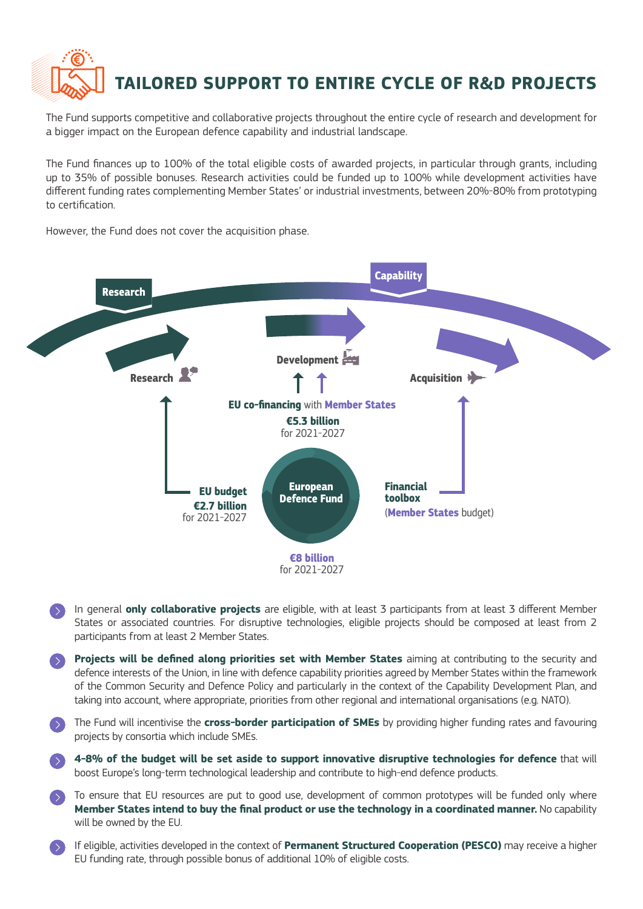

The Fund supports competitive and collaborative projects throughout the entire cycle of research and development for a bigger impact on the European defence capability and industrial landscape.

The Fund finances up to 100% of the total eligible costs of awarded projects, in particular through grants, including up to 35% of possible bonuses. Research activities could be funded up to 100% while development activities have different funding rates complementing Member States' or industrial investments, between 20%-80% from prototyping to certification.

However, the Fund does not cover the acquisition phase.



- In general **only collaborative projects** are eligible, with at least 3 participants from at least 3 different Member States or associated countries. For disruptive technologies, eligible projects should be composed at least from 2 participants from at least 2 Member States.
- **Projects will be defined along priorities set with Member States** aiming at contributing to the security and defence interests of the Union, in line with defence capability priorities agreed by Member States within the framework of the Common Security and Defence Policy and particularly in the context of the Capability Development Plan, and taking into account, where appropriate, priorities from other regional and international organisations (e.g. NATO).
- The Fund will incentivise the **cross-border participation of SMEs** by providing higher funding rates and favouring projects by consortia which include SMEs.

 **4-8% of the budget will be set aside to support innovative disruptive technologies for defence** that will boost Europe's long-term technological leadership and contribute to high-end defence products.

- To ensure that EU resources are put to good use, development of common prototypes will be funded only where **Member States intend to buy the final product or use the technology in a coordinated manner.** No capability will be owned by the EU.
- If eligible, activities developed in the context of **Permanent Structured Cooperation (PESCO)** may receive a higher EU funding rate, through possible bonus of additional 10% of eligible costs.